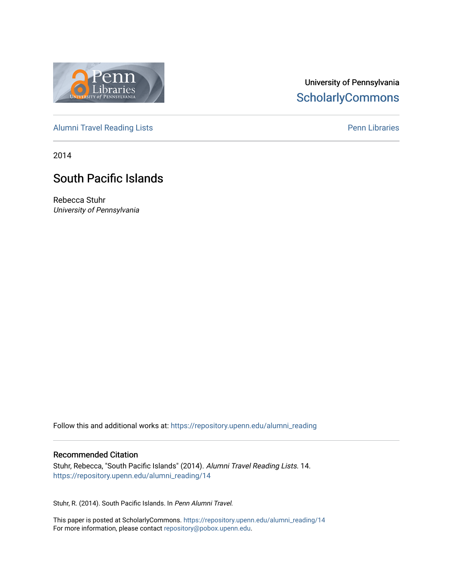

# University of Pennsylvania **ScholarlyCommons**

[Alumni Travel Reading Lists](https://repository.upenn.edu/alumni_reading) **Pennish Containers** [Penn Libraries](https://repository.upenn.edu/library) **Pennish Containers** 

2014

# South Pacific Islands

Rebecca Stuhr University of Pennsylvania

Follow this and additional works at: [https://repository.upenn.edu/alumni\\_reading](https://repository.upenn.edu/alumni_reading?utm_source=repository.upenn.edu%2Falumni_reading%2F14&utm_medium=PDF&utm_campaign=PDFCoverPages)

#### Recommended Citation

Stuhr, Rebecca, "South Pacific Islands" (2014). Alumni Travel Reading Lists. 14. [https://repository.upenn.edu/alumni\\_reading/14](https://repository.upenn.edu/alumni_reading/14?utm_source=repository.upenn.edu%2Falumni_reading%2F14&utm_medium=PDF&utm_campaign=PDFCoverPages) 

Stuhr, R. (2014). South Pacific Islands. In Penn Alumni Travel.

This paper is posted at ScholarlyCommons. [https://repository.upenn.edu/alumni\\_reading/14](https://repository.upenn.edu/alumni_reading/14)  For more information, please contact [repository@pobox.upenn.edu.](mailto:repository@pobox.upenn.edu)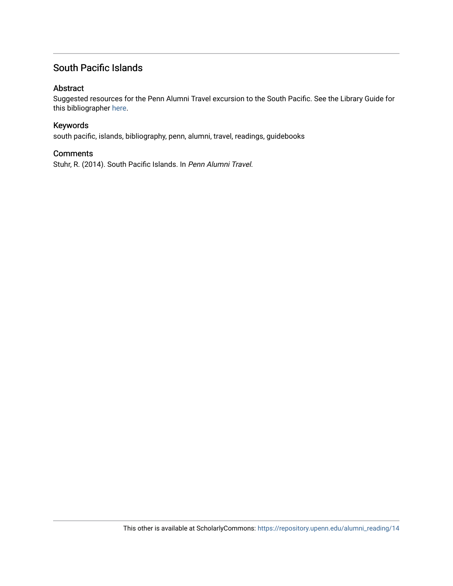## South Pacific Islands

#### Abstract

Suggested resources for the Penn Alumni Travel excursion to the South Pacific. See the Library Guide for this bibliographer [here.](http://guides.library.upenn.edu/alumnitravelreading_southpacific)

#### Keywords

south pacific, islands, bibliography, penn, alumni, travel, readings, guidebooks

#### **Comments**

Stuhr, R. (2014). South Pacific Islands. In Penn Alumni Travel.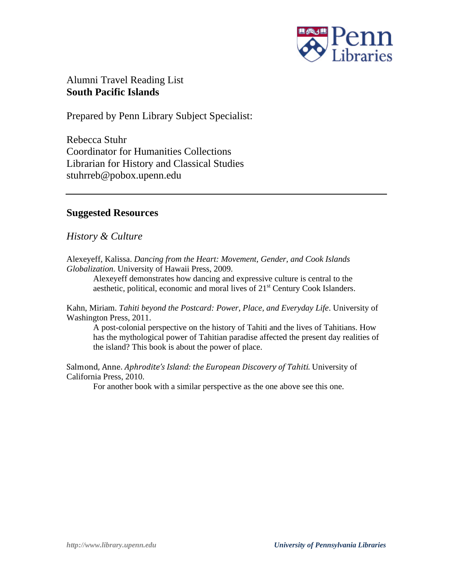

Alumni Travel Reading List **South Pacific Islands**

Prepared by Penn Library Subject Specialist:

Rebecca Stuhr Coordinator for Humanities Collections Librarian for History and Classical Studies stuhrreb@pobox.upenn.edu

## **Suggested Resources**

*History & Culture*

Alexeyeff, Kalissa. *Dancing from the Heart: Movement, Gender, and Cook Islands Globalization*. University of Hawaii Press, 2009.

Alexeyeff demonstrates how dancing and expressive culture is central to the aesthetic, political, economic and moral lives of  $21<sup>st</sup>$  Century Cook Islanders.

Kahn, Miriam. *Tahiti beyond the Postcard: Power, Place, and Everyday Life*. University of Washington Press, 2011.

A post-colonial perspective on the history of Tahiti and the lives of Tahitians. How has the mythological power of Tahitian paradise affected the present day realities of the island? This book is about the power of place.

Salmond, Anne. *Aphrodite's Island: the European Discovery of Tahiti*. University of California Press, 2010.

For another book with a similar perspective as the one above see this one.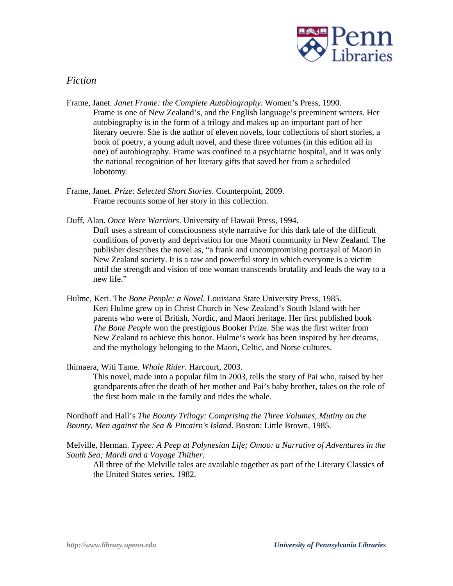

### *Fiction*

- Frame, Janet. *Janet Frame: the Complete Autobiography.* Women's Press, 1990. Frame is one of New Zealand's, and the English language's preeminent writers. Her autobiography is in the form of a trilogy and makes up an important part of her literary oeuvre. She is the author of eleven novels, four collections of short stories, a book of poetry, a young adult novel, and these three volumes (in this edition all in one) of autobiography. Frame was confined to a psychiatric hospital, and it was only the national recognition of her literary gifts that saved her from a scheduled lobotomy.
- Frame, Janet. *Prize: Selected Short Stories*. Counterpoint, 2009. Frame recounts some of her story in this collection.
- Duff, Alan. *Once Were Warriors*. University of Hawaii Press, 1994.

Duff uses a stream of consciousness style narrative for this dark tale of the difficult conditions of poverty and deprivation for one Maori community in New Zealand. The publisher describes the novel as, "a frank and uncompromising portrayal of Maori in New Zealand society. It is a raw and powerful story in which everyone is a victim until the strength and vision of one woman transcends brutality and leads the way to a new life."

Hulme, Keri. The *Bone People: a Novel.* Louisiana State University Press, 1985. Keri Hulme grew up in Christ Church in New Zealand's South Island with her parents who were of British, Nordic, and Maori heritage. Her first published book *The Bone People* won the prestigious Booker Prize. She was the first writer from New Zealand to achieve this honor. Hulme's work has been inspired by her dreams, and the mythology belonging to the Maori, Celtic, and Norse cultures.

Ihimaera, Witi Tame. *Whale Rider*. Harcourt, 2003.

This novel, made into a popular film in 2003, tells the story of Pai who, raised by her grandparents after the death of her mother and Pai's baby brother, takes on the role of the first born male in the family and rides the whale.

Nordhoff and Hall's *The Bounty Trilogy: Comprising the Three Volumes, Mutiny on the Bounty, Men against the Sea & Pitcairn's Island*. Boston: Little Brown, 1985.

Melville, Herman. *Typee: A Peep at Polynesian Life; Omoo: a Narrative of Adventures in the South Sea; Mardi and a Voyage Thither.*

All three of the Melville tales are available together as part of the Literary Classics of the United States series, 1982.